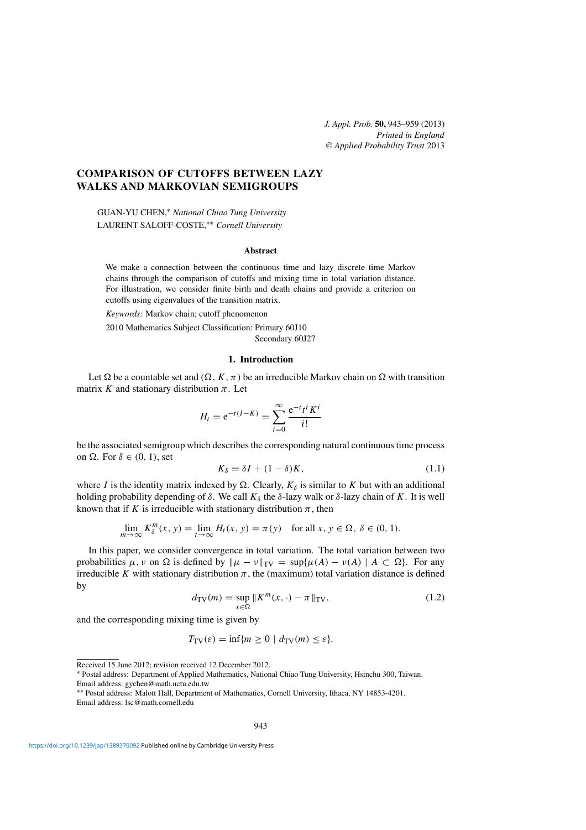# **COMPARISON OF CUTOFFS BETWEEN LAZY WALKS AND MARKOVIAN SEMIGROUPS**

GUAN-YU CHEN,<sup>∗</sup> *National Chiao Tung University* LAURENT SALOFF-COSTE,∗∗ *Cornell University*

## **Abstract**

We make a connection between the continuous time and lazy discrete time Markov chains through the comparison of cutoffs and mixing time in total variation distance. For illustration, we consider finite birth and death chains and provide a criterion on cutoffs using eigenvalues of the transition matrix.

*Keywords:* Markov chain; cutoff phenomenon 2010 Mathematics Subject Classification: Primary 60J10 Secondary 60J27

#### **1. Introduction**

Let  $\Omega$  be a countable set and  $(\Omega, K, \pi)$  be an irreducible Markov chain on  $\Omega$  with transition matrix *K* and stationary distribution  $\pi$ . Let

$$
H_t = e^{-t(I-K)} = \sum_{i=0}^{\infty} \frac{e^{-t}t^i K^i}{i!}
$$

be the associated semigroup which describes the corresponding natural continuous time process on  $\Omega$ . For  $\delta \in (0, 1)$ , set

$$
K_{\delta} = \delta I + (1 - \delta)K, \tag{1.1}
$$

where *I* is the identity matrix indexed by  $\Omega$ . Clearly,  $K_{\delta}$  is similar to *K* but with an additional holding probability depending of  $\delta$ . We call  $K_{\delta}$  the  $\delta$ -lazy walk or  $\delta$ -lazy chain of  $K$ . It is well known that if *K* is irreducible with stationary distribution  $\pi$ , then

$$
\lim_{m \to \infty} K_{\delta}^{m}(x, y) = \lim_{t \to \infty} H_{t}(x, y) = \pi(y) \quad \text{for all } x, y \in \Omega, \ \delta \in (0, 1).
$$

In this paper, we consider convergence in total variation. The total variation between two probabilities  $\mu, \nu$  on  $\Omega$  is defined by  $\|\mu - \nu\|_{TV} = \sup{\{\mu(A) - \nu(A) \mid A \subset \Omega\}}$ . For any irreducible *K* with stationary distribution  $\pi$ , the (maximum) total variation distance is defined by

$$
d_{\mathrm{TV}}(m) = \sup_{x \in \Omega} \|K^m(x, \cdot) - \pi\|_{\mathrm{TV}},\tag{1.2}
$$

and the corresponding mixing time is given by

 $T_{\text{TV}}(\varepsilon) = \inf \{ m > 0 \mid d_{\text{TV}}(m) \leq \varepsilon \}.$ 

Received 15 June 2012; revision received 12 December 2012.

<sup>∗</sup> Postal address: Department of Applied Mathematics, National Chiao Tung University, Hsinchu 300, Taiwan. Email address: gychen@math.nctu.edu.tw

<sup>∗∗</sup> Postal address: Malott Hall, Department of Mathematics, Cornell University, Ithaca, NY 14853-4201. Email address: lsc@math.cornell.edu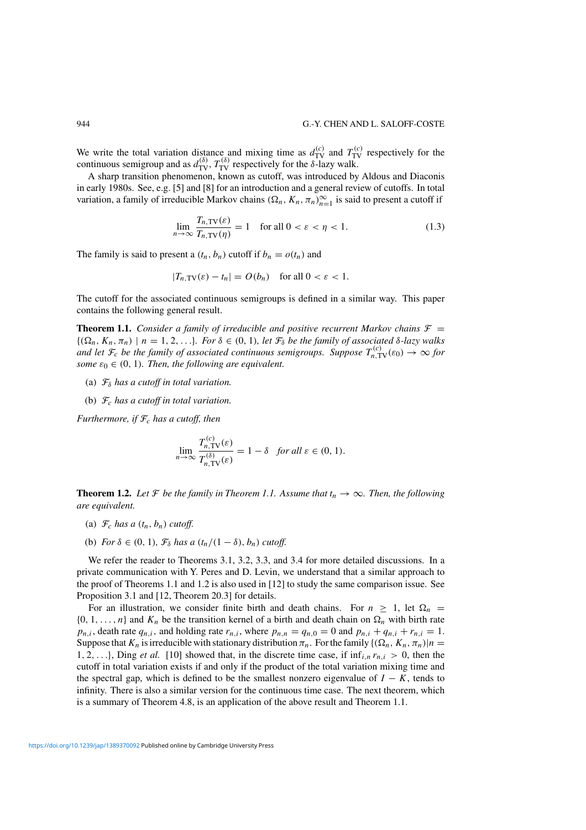We write the total variation distance and mixing time as  $d_{\text{TV}}^{(c)}$  and  $T_{\text{TV}}^{(c)}$  respectively for the continuous semigroup and as  $d_{\text{TV}}^{(\delta)}$ ,  $T_{\text{TV}}^{(\delta)}$  respectively for the *δ*-lazy walk.

A sharp transition phenomenon, known as cutoff, was introduced by Aldous and Diaconis in early 1980s. See, e.g. [5] and [8] for an introduction and a general review of cutoffs. In total variation, a family of irreducible Markov chains  $(\Omega_n, K_n, \pi_n)_{n=1}^{\infty}$  is said to present a cutoff if

$$
\lim_{n \to \infty} \frac{T_{n,\text{TV}}(\varepsilon)}{T_{n,\text{TV}}(\eta)} = 1 \quad \text{for all } 0 < \varepsilon < \eta < 1. \tag{1.3}
$$

The family is said to present a  $(t_n, b_n)$  cutoff if  $b_n = o(t_n)$  and

$$
|T_{n,\text{TV}}(\varepsilon) - t_n| = O(b_n) \quad \text{for all } 0 < \varepsilon < 1.
$$

The cutoff for the associated continuous semigroups is defined in a similar way. This paper contains the following general result.

**Theorem 1.1.** *Consider a family of irreducible and positive recurrent Markov chains*  $\mathcal{F}$  =  $\{(\Omega_n, K_n, \pi_n) \mid n = 1, 2, \ldots\}$ *. For*  $\delta \in (0, 1)$ *, let*  $\mathcal{F}_{\delta}$  *be the family of associated*  $\delta$ *-lazy walks and let*  $\mathcal{F}_c$  *be the family of associated continuous semigroups. Suppose*  $T_{n,\text{TV}}^{(c)}(\varepsilon_0) \to \infty$  for *some*  $\varepsilon_0 \in (0, 1)$ *. Then, the following are equivalent.* 

- (a) F*<sup>δ</sup> has a cutoff in total variation.*
- (b) F*<sup>c</sup> has a cutoff in total variation.*

*Furthermore, if*  $\mathcal{F}_c$  *has a cutoff, then* 

$$
\lim_{n \to \infty} \frac{T_{n,\text{TV}}^{(c)}(\varepsilon)}{T_{n,\text{TV}}^{(\delta)}(\varepsilon)} = 1 - \delta \quad \text{for all } \varepsilon \in (0, 1).
$$

**Theorem 1.2.** *Let*  $\mathcal F$  *be the family in Theorem 1.1. Assume that*  $t_n \to \infty$ *. Then, the following are equivalent.*

- (a)  $\mathcal{F}_c$  *has a*  $(t_n, b_n)$  *cutoff.*
- (b) *For*  $\delta \in (0, 1)$ *,*  $\mathcal{F}_{\delta}$  *has a*  $(t_n/(1 \delta), b_n)$  *cutoff.*

We refer the reader to Theorems 3.1, 3.2, 3.3, and 3.4 for more detailed discussions. In a private communication with Y. Peres and D. Levin, we understand that a similar approach to the proof of Theorems 1.1 and 1.2 is also used in [12] to study the same comparison issue. See Proposition 3.1 and [12, Theorem 20.3] for details.

For an illustration, we consider finite birth and death chains. For  $n \geq 1$ , let  $\Omega_n$  $\{0, 1, \ldots, n\}$  and  $K_n$  be the transition kernel of a birth and death chain on  $\Omega_n$  with birth rate  $p_{n,i}$ , death rate  $q_{n,i}$ , and holding rate  $r_{n,i}$ , where  $p_{n,n} = q_{n,0} = 0$  and  $p_{n,i} + q_{n,i} + r_{n,i} = 1$ . Suppose that  $K_n$  is irreducible with stationary distribution  $\pi_n$ . For the family  $\{(\Omega_n, K_n, \pi_n)|n = 1\}$ 1, 2, ..., I, Ding *et al.* [10] showed that, in the discrete time case, if  $\inf_{i,n} r_{n,i} > 0$ , then the cutoff in total variation exists if and only if the product of the total variation mixing time and the spectral gap, which is defined to be the smallest nonzero eigenvalue of  $I - K$ , tends to infinity. There is also a similar version for the continuous time case. The next theorem, which is a summary of Theorem 4.8, is an application of the above result and Theorem 1.1.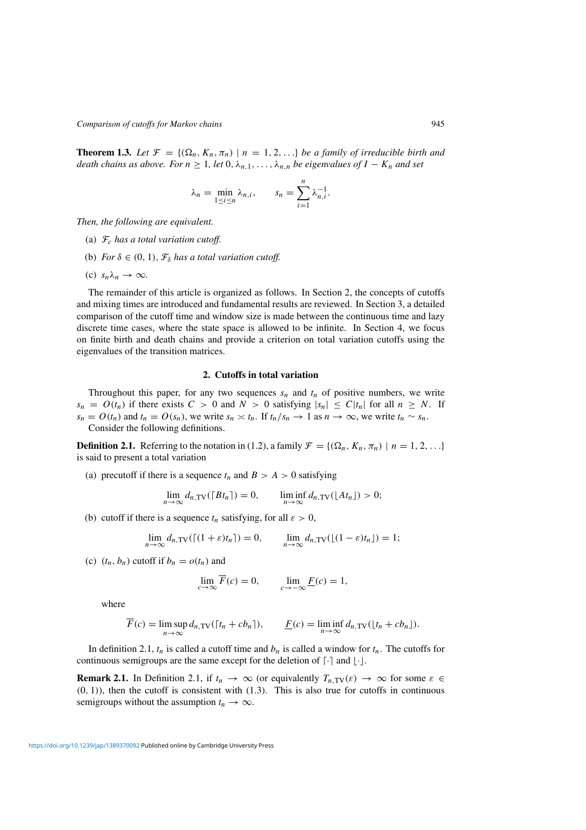**Theorem 1.3.** Let  $\mathcal{F} = \{(\Omega_n, K_n, \pi_n) | n = 1, 2, ...\}$  be a family of irreducible birth and *death chains as above. For*  $n \geq 1$ , let  $0, \lambda_{n,1}, \ldots, \lambda_{n,n}$  be eigenvalues of  $I - K_n$  and set

$$
\lambda_n = \min_{1 \le i \le n} \lambda_{n,i}, \qquad s_n = \sum_{i=1}^n \lambda_{n,i}^{-1}.
$$

*Then, the following are equivalent.*

- (a) F*<sup>c</sup> has a total variation cutoff.*
- (b) *For*  $\delta \in (0, 1)$ *,*  $\mathcal{F}_{\delta}$  *has a total variation cutoff.*
- (c)  $s_n \lambda_n \to \infty$ .

The remainder of this article is organized as follows. In Section 2, the concepts of cutoffs and mixing times are introduced and fundamental results are reviewed. In Section 3, a detailed comparison of the cutoff time and window size is made between the continuous time and lazy discrete time cases, where the state space is allowed to be infinite. In Section 4, we focus on finite birth and death chains and provide a criterion on total variation cutoffs using the eigenvalues of the transition matrices.

## **2. Cutoffs in total variation**

Throughout this paper, for any two sequences  $s_n$  and  $t_n$  of positive numbers, we write  $s_n = O(t_n)$  if there exists  $C > 0$  and  $N > 0$  satisfying  $|s_n| \le C |t_n|$  for all  $n \ge N$ . If  $s_n = O(t_n)$  and  $t_n = O(s_n)$ , we write  $s_n \asymp t_n$ . If  $t_n/s_n \to 1$  as  $n \to \infty$ , we write  $t_n \sim s_n$ . Consider the following definitions.

**Definition 2.1.** Referring to the notation in (1.2), a family  $\mathcal{F} = \{(\Omega_n, K_n, \pi_n) \mid n = 1, 2, ...\}$ is said to present a total variation

(a) precutoff if there is a sequence  $t_n$  and  $B > A > 0$  satisfying

$$
\lim_{n \to \infty} d_{n,\text{TV}}([Bt_n]) = 0, \qquad \liminf_{n \to \infty} d_{n,\text{TV}}([At_n]) > 0;
$$

(b) cutoff if there is a sequence  $t_n$  satisfying, for all  $\varepsilon > 0$ ,

$$
\lim_{n\to\infty} d_{n,\text{TV}}((1+\varepsilon)t_n]) = 0, \qquad \lim_{n\to\infty} d_{n,\text{TV}}((1-\varepsilon)t_n]) = 1;
$$

(c)  $(t_n, b_n)$  cutoff if  $b_n = o(t_n)$  and

$$
\lim_{c \to \infty} \overline{F}(c) = 0, \qquad \lim_{c \to -\infty} \underline{F}(c) = 1,
$$

where

$$
\overline{F}(c) = \limsup_{n \to \infty} d_{n,\text{TV}}([t_n + cb_n]), \qquad \underline{F}(c) = \liminf_{n \to \infty} d_{n,\text{TV}}([t_n + cb_n]).
$$

In definition 2.1,  $t_n$  is called a cutoff time and  $b_n$  is called a window for  $t_n$ . The cutoffs for continuous semigroups are the same except for the deletion of  $\lceil \cdot \rceil$  and  $\lfloor \cdot \rfloor$ .

**Remark 2.1.** In Definition 2.1, if  $t_n \to \infty$  (or equivalently  $T_{n,\text{TV}}(\varepsilon) \to \infty$  for some  $\varepsilon \in$  $(0, 1)$ ), then the cutoff is consistent with  $(1.3)$ . This is also true for cutoffs in continuous semigroups without the assumption  $t_n \to \infty$ .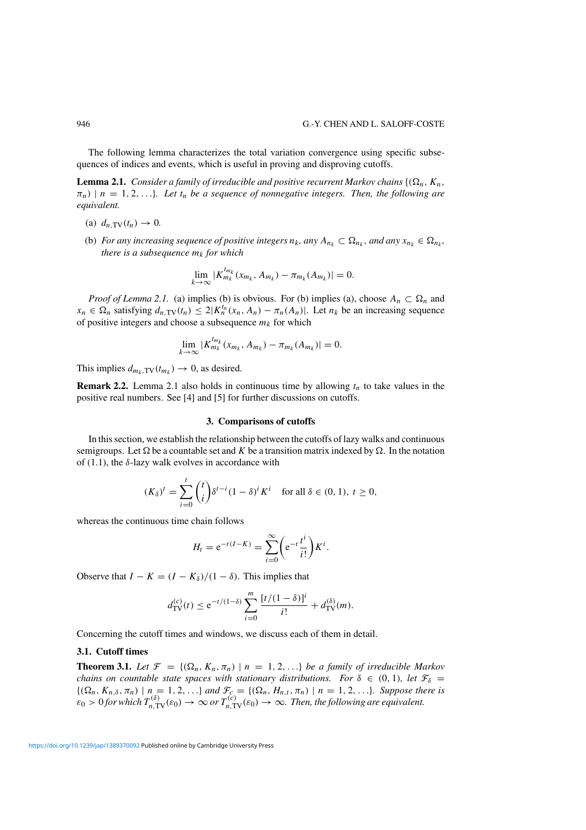The following lemma characterizes the total variation convergence using specific subsequences of indices and events, which is useful in proving and disproving cutoffs.

**Lemma 2.1.** *Consider a family of irreducible and positive recurrent Markov chains*  $\{(\Omega_n, K_n, \Pi_n\})$  $\pi_n$ ) | *n* = 1, 2, ...}*. Let*  $t_n$  *be a sequence of nonnegative integers. Then, the following are equivalent.*

- (a)  $d_n$ <sub>TV</sub> $(t_n) \to 0$ .
- (b) *For any increasing sequence of positive integers*  $n_k$ , any  $A_{n_k} \subset \Omega_{n_k}$ , and any  $x_{n_k} \in \Omega_{n_k}$ , *there is a subsequence*  $m_k$  *for which*

$$
\lim_{k \to \infty} |K_{m_k}^{t_{m_k}}(x_{m_k}, A_{m_k}) - \pi_{m_k}(A_{m_k})| = 0.
$$

*Proof of Lemma 2.1.* (a) implies (b) is obvious. For (b) implies (a), choose  $A_n \subset \Omega_n$  and  $x_n \in \Omega_n$  satisfying  $d_{n,\text{TV}}(t_n) \leq 2|K_n^{t_n}(x_n, A_n) - \pi_n(A_n)|$ . Let  $n_k$  be an increasing sequence of positive integers and choose a subsequence  $m_k$  for which

$$
\lim_{k \to \infty} |K_{m_k}^{t_{m_k}}(x_{m_k}, A_{m_k}) - \pi_{m_k}(A_{m_k})| = 0.
$$

This implies  $d_{m_k, \text{TV}}(t_{m_k}) \to 0$ , as desired.

**Remark 2.2.** Lemma 2.1 also holds in continuous time by allowing  $t_n$  to take values in the positive real numbers. See [4] and [5] for further discussions on cutoffs.

#### **3. Comparisons of cutoffs**

In this section, we establish the relationship between the cutoffs of lazy walks and continuous semigroups. Let  $\Omega$  be a countable set and K be a transition matrix indexed by  $\Omega$ . In the notation of  $(1.1)$ , the  $\delta$ -lazy walk evolves in accordance with

$$
(K_{\delta})^t = \sum_{i=0}^t \binom{t}{i} \delta^{t-i} (1-\delta)^i K^i \quad \text{for all } \delta \in (0,1), t \ge 0,
$$

whereas the continuous time chain follows

$$
H_t = e^{-t(I-K)} = \sum_{i=0}^{\infty} \left( e^{-t} \frac{t^i}{i!} \right) K^i.
$$

Observe that  $I - K = (I - K_{\delta})/(1 - \delta)$ . This implies that

$$
d_{\mathrm{TV}}^{(c)}(t) \le e^{-t/(1-\delta)} \sum_{i=0}^m \frac{[t/(1-\delta)]^i}{i!} + d_{\mathrm{TV}}^{(\delta)}(m).
$$

Concerning the cutoff times and windows, we discuss each of them in detail.

### **3.1. Cutoff times**

**Theorem 3.1.** Let  $\mathcal{F} = \{(\Omega_n, K_n, \pi_n) \mid n = 1, 2, ...\}$  be a family of irreducible Markov *chains on countable state spaces with stationary distributions. For*  $\delta \in (0, 1)$ *<i>, let*  $\mathcal{F}_{\delta} =$  $\{(\Omega_n, K_{n,\delta}, \pi_n) \mid n = 1, 2, ...\}$  and  $\mathcal{F}_{\mathcal{E}} = \{(\Omega_n, H_{n,t}, \pi_n) \mid n = 1, 2, ...\}$ *. Suppose there is*  $\varepsilon_0 > 0$  *for which*  $T_{n,\text{TV}}^{(\delta)}(\varepsilon_0) \to \infty$  *or*  $T_{n,\text{TV}}^{(c)}(\varepsilon_0) \to \infty$ . Then, the following are equivalent.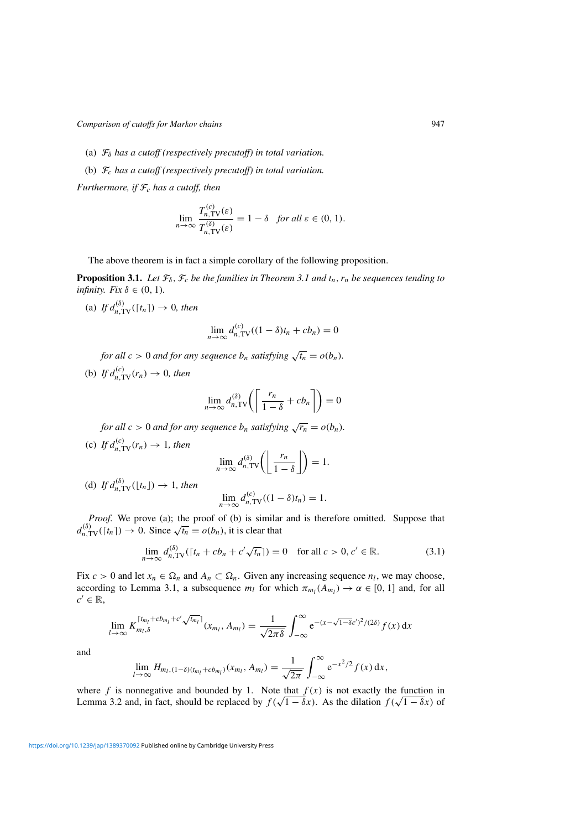- (a) F*<sup>δ</sup> has a cutoff (respectively precutoff) in total variation.*
- (b) F*<sup>c</sup> has a cutoff (respectively precutoff) in total variation.*

*Furthermore, if*  $\mathcal{F}_c$  *has a cutoff, then* 

$$
\lim_{n \to \infty} \frac{T_{n,\text{TV}}^{(c)}(\varepsilon)}{T_{n,\text{TV}}^{(\delta)}(\varepsilon)} = 1 - \delta \quad \text{for all } \varepsilon \in (0, 1).
$$

The above theorem is in fact a simple corollary of the following proposition.

**Proposition 3.1.** *Let*  $\mathcal{F}_{\delta}$ ,  $\mathcal{F}_{c}$  *be the families in Theorem 3.1 and*  $t_n$ ,  $r_n$  *be sequences tending to infinity. Fix*  $\delta \in (0, 1)$ *.* 

(a) If  $d_{n,\text{TV}}^{(\delta)}([\tau_n]) \to 0$ , then

$$
\lim_{n \to \infty} d_{n,\text{TV}}^{(c)}((1 - \delta)t_n + cb_n) = 0
$$

*for all*  $c > 0$  *and for any sequence*  $b_n$  *satisfying*  $\sqrt{t_n} = o(b_n)$ *.* 

(b) If  $d_{n,\text{TV}}^{(c)}(r_n) \to 0$ , then

$$
\lim_{n \to \infty} d_{n,\text{TV}}^{(\delta)} \bigg( \left\lceil \frac{r_n}{1 - \delta} + cb_n \right\rceil \bigg) = 0
$$

*for all*  $c > 0$  *and for any sequence*  $b_n$  *satisfying*  $\sqrt{r_n} = o(b_n)$ *.* 

(c) If  $d_{n,\text{TV}}^{(c)}(r_n) \to 1$ , then

$$
\lim_{n\to\infty} d_{n,\text{TV}}^{(\delta)}\left(\left\lfloor\frac{r_n}{1-\delta}\right\rfloor\right) = 1.
$$

(d) *If*  $d_{n,\text{TV}}^{(\delta)}(\lfloor t_n \rfloor) \to 1$ *, then* 

$$
\lim_{n \to \infty} d_{n,\text{TV}}^{(c)}((1 - \delta)t_n) = 1.
$$

*Proof.* We prove (a); the proof of (b) is similar and is therefore omitted. Suppose that *d*<sup>(*δ*</sup>)  $\overline{d}$  (*d*). We prove (a); the proof of (b) is similar  $d_{n,\text{TV}}^{\delta}(\lceil t_n \rceil) \to 0$ . Since  $\sqrt{t_n} = o(b_n)$ , it is clear that

$$
\lim_{n \to \infty} d_{n,\text{TV}}^{(\delta)}([\tau_n + cb_n + c'\sqrt{\tau_n}]) = 0 \quad \text{for all } c > 0, c' \in \mathbb{R}.
$$
 (3.1)

Fix  $c > 0$  and let  $x_n \in \Omega_n$  and  $A_n \subset \Omega_n$ . Given any increasing sequence  $n_l$ , we may choose, according to Lemma 3.1, a subsequence  $m_l$  for which  $\pi_{m_l}(A_{m_l}) \to \alpha \in [0, 1]$  and, for all  $c' \in \mathbb{R}$ ,

$$
\lim_{l \to \infty} K_{m_l, \delta}^{\lceil t_{m_l} + c b_{m_l} + c' \sqrt{t_{m_l}} \rceil} (x_{m_l}, A_{m_l}) = \frac{1}{\sqrt{2\pi\delta}} \int_{-\infty}^{\infty} e^{-(x - \sqrt{1 - \delta}c')^2 / (2\delta)} f(x) dx
$$

and

$$
\lim_{l\to\infty} H_{m_l,(1-\delta)(t_{m_l}+cb_{m_l})}(x_{m_l},A_{m_l})=\frac{1}{\sqrt{2\pi}}\int_{-\infty}^{\infty}e^{-x^2/2}f(x)\,dx,
$$

where  $f$  is nonnegative and bounded by 1. Note that  $f(x)$  is not exactly the function in Lemma 3.2 and, in fact, should be replaced by  $f(\sqrt{1-\delta}x)$ . As the dilation  $f(\sqrt{1-\delta}x)$  of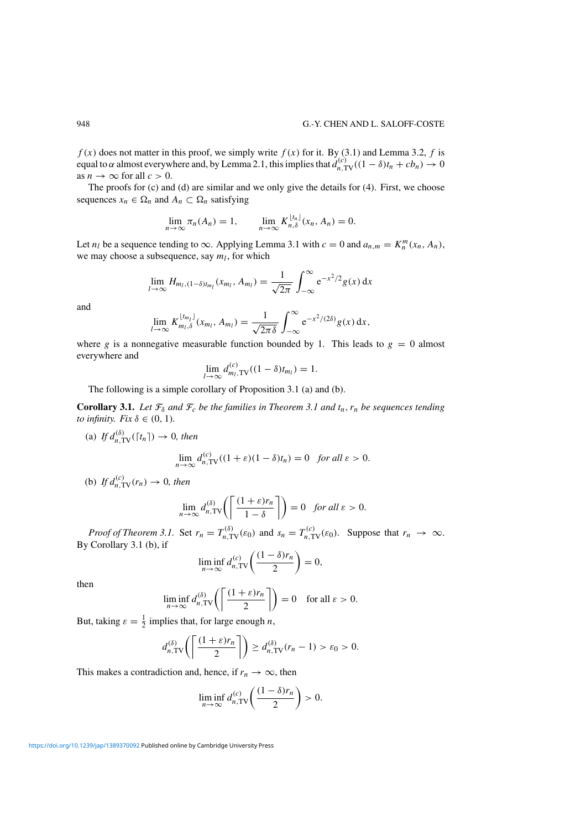$f(x)$  does not matter in this proof, we simply write  $f(x)$  for it. By (3.1) and Lemma 3.2,  $f$  is equal to  $\alpha$  almost everywhere and, by Lemma 2.1, this implies that  $d_{n,TV}^{(c)}((1-\delta)t_n + cb_n) \to 0$ as  $n \to \infty$  for all  $c > 0$ .

The proofs for (c) and (d) are similar and we only give the details for (4). First, we choose sequences  $x_n \in \Omega_n$  and  $A_n \subset \Omega_n$  satisfying

$$
\lim_{n \to \infty} \pi_n(A_n) = 1, \qquad \lim_{n \to \infty} K_{n,\delta}^{\lfloor t_n \rfloor}(x_n, A_n) = 0.
$$

Let *n<sub>l</sub>* be a sequence tending to  $\infty$ . Applying Lemma 3.1 with  $c = 0$  and  $a_{n,m} = K_n^m(x_n, A_n)$ , we may choose a subsequence, say  $m_l$ , for which

$$
\lim_{l\to\infty} H_{m_l,(1-\delta)t_{m_l}}(x_{m_l},A_{m_l}) = \frac{1}{\sqrt{2\pi}} \int_{-\infty}^{\infty} e^{-x^2/2} g(x) dx
$$

and

$$
\lim_{l\to\infty} K_{m_l,\delta}^{\lfloor t_{m_l}\rfloor}(x_{m_l},A_{m_l})=\frac{1}{\sqrt{2\pi\delta}}\int_{-\infty}^{\infty}e^{-x^2/(2\delta)}g(x)\,dx,
$$

where *g* is a nonnegative measurable function bounded by 1. This leads to  $g = 0$  almost everywhere and

$$
\lim_{l \to \infty} d_{m_l, \text{TV}}^{(c)}((1 - \delta)t_{m_l}) = 1.
$$

The following is a simple corollary of Proposition 3.1 (a) and (b).

**Corollary 3.1.** *Let*  $\mathcal{F}_{\delta}$  *and*  $\mathcal{F}_{c}$  *be the families in Theorem 3.1 and*  $t_n$ *,*  $r_n$  *be sequences tending to infinity. Fix*  $\delta \in (0, 1)$ *.* 

(a) If  $d_{n,\text{TV}}^{(\delta)}([\tau_n]) \to 0$ , then

$$
\lim_{n \to \infty} d_{n,\text{TV}}^{(c)}((1+\varepsilon)(1-\delta)t_n) = 0 \quad \text{for all } \varepsilon > 0.
$$

(b) *If*  $d_{n, \text{TV}}^{(c)}(r_n) \to 0$ *, then* 

$$
\lim_{n\to\infty} d_{n,\text{TV}}^{(\delta)}\left(\left\lceil \frac{(1+\varepsilon)r_n}{1-\delta} \right\rceil\right) = 0 \quad \text{for all } \varepsilon > 0.
$$

*Proof of Theorem 3.1.* Set  $r_n = T_{n,\text{TV}}^{(\delta)}(\varepsilon_0)$  and  $s_n = T_{n,\text{TV}}^{(c)}(\varepsilon_0)$ . Suppose that  $r_n \to \infty$ . By Corollary 3.1 (b), if

$$
\liminf_{n\to\infty} d_{n,\text{TV}}^{(c)}\left(\frac{(1-\delta)r_n}{2}\right) = 0,
$$

then

$$
\liminf_{n \to \infty} d_{n,\text{TV}}^{(\delta)}\left(\left\lceil \frac{(1+\varepsilon)r_n}{2} \right\rceil\right) = 0 \quad \text{for all } \varepsilon > 0.
$$

But, taking  $\varepsilon = \frac{1}{2}$  implies that, for large enough *n*,

$$
d_{n,\text{TV}}^{(\delta)}\left(\left\lceil\frac{(1+\varepsilon)r_n}{2}\right\rceil\right) \geq d_{n,\text{TV}}^{(\delta)}(r_n-1) > \varepsilon_0 > 0.
$$

This makes a contradiction and, hence, if  $r_n \to \infty$ , then

$$
\liminf_{n\to\infty} d_{n,\text{TV}}^{(c)}\left(\frac{(1-\delta)r_n}{2}\right) > 0.
$$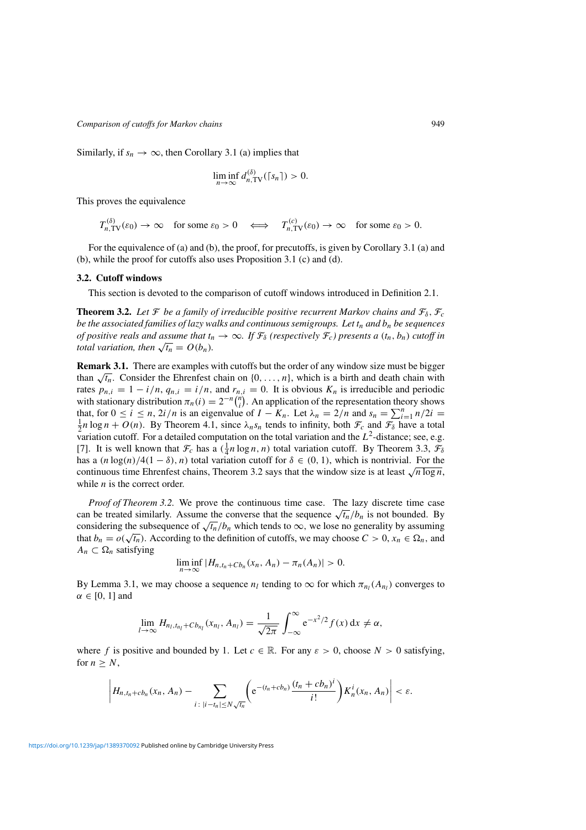Similarly, if  $s_n \to \infty$ , then Corollary 3.1 (a) implies that

$$
\liminf_{n\to\infty} d_{n,\text{TV}}^{(\delta)}(\lceil s_n \rceil) > 0.
$$

This proves the equivalence

 $T_{n,\text{TV}}^{(\delta)}(\varepsilon_0) \to \infty$  for some  $\varepsilon_0 > 0 \iff T_{n,\text{TV}}^{(c)}(\varepsilon_0) \to \infty$  for some  $\varepsilon_0 > 0$ .

For the equivalence of (a) and (b), the proof, for precutoffs, is given by Corollary 3.1 (a) and (b), while the proof for cutoffs also uses Proposition 3.1 (c) and (d).

## **3.2. Cutoff windows**

This section is devoted to the comparison of cutoff windows introduced in Definition 2.1.

**Theorem 3.2.** Let  $\mathcal{F}$  be a family of irreducible positive recurrent Markov chains and  $\mathcal{F}_{\delta}$ ,  $\mathcal{F}_{c}$ *be the associated families of lazy walks and continuous semigroups. Let*  $t_n$  *and*  $b_n$  *be sequences of positive reals and assume that*  $t_n \to \infty$ *. If*  $\mathcal{F}_\delta$  *(respectively*  $\mathcal{F}_c$ *) presents a*  $(t_n, b_n)$  *cutoff in total variation, then*  $\sqrt{t_n} = O(b_n)$ *.* 

**Remark 3.1.** There are examples with cutoffs but the order of any window size must be bigger than  $\sqrt{t_n}$ . Consider the Ehrenfest chain on  $\{0, \ldots, n\}$ , which is a birth and death chain with rates  $p_{n,i} = 1 - i/n$ ,  $q_{n,i} = i/n$ , and  $r_{n,i} = 0$ . It is obvious  $K_n$  is irreducible and periodic with stationary distribution  $\pi_n(i) = 2^{-n} \binom{n}{i}$ . An application of the representation theory shows that, for  $0 \le i \le n$ ,  $2i/n$  is an eigenvalue of  $I - K_n$ . Let  $\lambda_n = 2/n$  and  $s_n = \sum_{i=1}^n n/2i = \frac{1}{n}n \log n + O(n)$ . By Theorem 4.1, since  $\lambda$ , s, tends to infinity both  $\mathcal{F}$  and  $\mathcal{F}_n$  have a total  $\frac{1}{2}n \log n + O(n)$ . By Theorem 4.1, since  $\lambda_n s_n$  tends to infinity, both  $\mathcal{F}_c$  and  $\mathcal{F}_\delta$  have a total variation cutoff. For a detailed computation on the total variation and the *L*2-distance; see, e.g. [7]. It is well known that  $\mathcal{F}_c$  has a  $(\frac{1}{4}n \log n, n)$  total variation cutoff. By Theorem 3.3,  $\mathcal{F}_\delta$ has a  $(n \log(n)/4(1 - \delta), n)$  total variation cutoff for  $\delta \in (0, 1)$ , which is nontrivial. For the continuous time Ehrenfest chains, Theorem 3.2 says that the window size is at least  $\sqrt{n \log n}$ , while *n* is the correct order.

*Proof of Theorem 3.2.* We prove the continuous time case. The lazy discrete time case can be treated similarly. Assume the converse that the sequence  $\sqrt{t_n}/b_n$  is not bounded. By considering the subsequence of  $\sqrt{t_n}/b_n$  which tends to  $\infty$ , we lose no generality by assuming that  $b_n = o(\sqrt{t_n})$ . According to the definition of cutoffs, we may choose  $C > 0$ ,  $x_n \in \Omega_n$ , and  $A_n$  ⊂  $\Omega_n$  satisfying

$$
\liminf_{n\to\infty} |H_{n,t_n+Cb_n}(x_n,A_n)-\pi_n(A_n)|>0.
$$

By Lemma 3.1, we may choose a sequence  $n_l$  tending to  $\infty$  for which  $\pi_{n_l}(A_{n_l})$  converges to *α* ∈ [0*,* 1] and

$$
\lim_{l\to\infty} H_{n_l,t_{n_l}+Cb_{n_l}}(x_{n_l},A_{n_l})=\frac{1}{\sqrt{2\pi}}\int_{-\infty}^{\infty} e^{-x^2/2}f(x) dx \neq \alpha,
$$

where *f* is positive and bounded by 1. Let  $c \in \mathbb{R}$ . For any  $\varepsilon > 0$ , choose  $N > 0$  satisfying, for  $n \geq N$ ,

$$
\left|H_{n,t_n+cb_n}(x_n,A_n)-\sum_{i\colon|i-t_n|\leq N\sqrt{t_n}}\left(e^{-(t_n+cb_n)}\frac{(t_n+cb_n)^i}{i!}\right)K_n^i(x_n,A_n)\right|<\varepsilon.
$$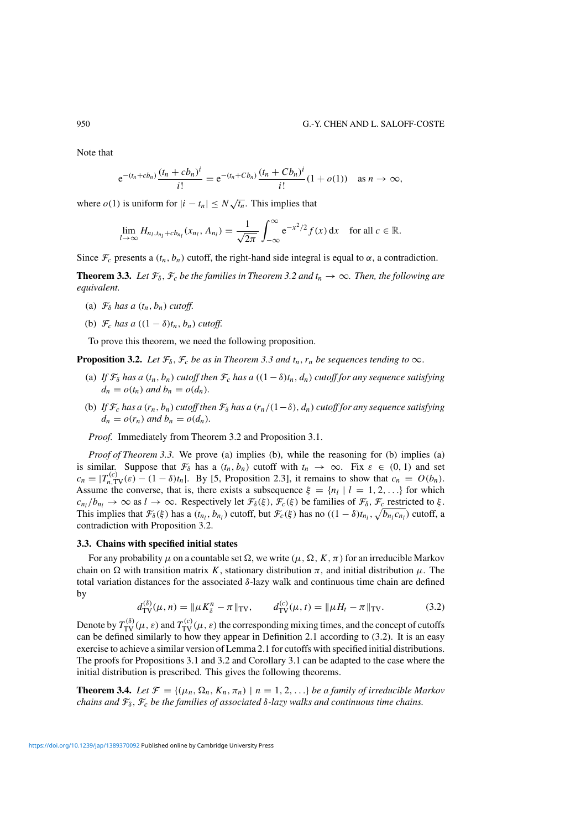Note that

$$
e^{-(t_n+c b_n)}\frac{(t_n+c b_n)^i}{i!} = e^{-(t_n+c b_n)}\frac{(t_n+c b_n)^i}{i!}(1+o(1)) \text{ as } n \to \infty,
$$

where  $o(1)$  is uniform for  $|i - t_n| \leq N \sqrt{t_n}$ . This implies that

$$
\lim_{l\to\infty} H_{n_l,t_{n_l}+cb_{n_l}}(x_{n_l},A_{n_l})=\frac{1}{\sqrt{2\pi}}\int_{-\infty}^{\infty}e^{-x^2/2}f(x)\,dx\quad\text{for all }c\in\mathbb{R}.
$$

Since  $\mathcal{F}_c$  presents a  $(t_n, b_n)$  cutoff, the right-hand side integral is equal to  $\alpha$ , a contradiction.

**Theorem 3.3.** Let  $\mathcal{F}_{\delta}$ ,  $\mathcal{F}_{c}$  be the families in Theorem 3.2 and  $t_n \to \infty$ . Then, the following are *equivalent.*

- (a)  $\mathcal{F}_{\delta}$  *has a*  $(t_n, b_n)$  *cutoff.*
- (b)  $\mathcal{F}_c$  *has a*  $((1 \delta)t_n, b_n)$  *cutoff.*

To prove this theorem, we need the following proposition.

**Proposition 3.2.** *Let*  $\mathcal{F}_{\delta}$ ,  $\mathcal{F}_{c}$  *be as in Theorem 3.3 and*  $t_n$ ,  $r_n$  *be sequences tending to*  $\infty$ *.* 

- (a) *If*  $\mathcal{F}_{\delta}$  *has a*  $(t_n, b_n)$  *cutoff then*  $\mathcal{F}_c$  *has a*  $((1 \delta)t_n, d_n)$  *cutoff for any sequence satisfying*  $d_n = o(t_n)$  *and*  $b_n = o(d_n)$ *.*
- (b) *If*  $\mathcal{F}_c$  *has a*  $(r_n, b_n)$  *cutoff then*  $\mathcal{F}_\delta$  *has a*  $(r_n/(1-\delta), d_n)$  *cutoff for any sequence satisfying*  $d_n = o(r_n)$  *and*  $b_n = o(d_n)$ *.*

*Proof.* Immediately from Theorem 3.2 and Proposition 3.1.

*Proof of Theorem 3.3.* We prove (a) implies (b), while the reasoning for (b) implies (a) is similar. Suppose that  $\mathcal{F}_{\delta}$  has a  $(t_n, b_n)$  cutoff with  $t_n \to \infty$ . Fix  $\varepsilon \in (0, 1)$  and set  $c_n = |T_{n,\text{TV}}^{(c)}(\varepsilon) - (1 - \delta)t_n|$ . By [5, Proposition 2.3], it remains to show that  $c_n = O(b_n)$ . Assume the converse, that is, there exists a subsequence  $\xi = \{n_l | l = 1, 2, ...\}$  for which  $c_{n_l}/b_{n_l} \to \infty$  as  $l \to \infty$ . Respectively let  $\mathcal{F}_{\delta}(\xi)$ ,  $\mathcal{F}_c(\xi)$  be families of  $\mathcal{F}_{\delta}$ ,  $\mathcal{F}_c$  restricted to  $\xi$ . This implies that  $\mathcal{F}_{\delta}(\xi)$  has a  $(t_{n_l}, b_{n_l})$  cutoff, but  $\mathcal{F}_c(\xi)$  has no  $((1 - \delta)t_{n_l}, \sqrt{b_{n_l}c_{n_l}})$  cutoff, a contradiction with Proposition 3.2.

## **3.3. Chains with specified initial states**

For any probability  $\mu$  on a countable set  $\Omega$ , we write  $(\mu, \Omega, K, \pi)$  for an irreducible Markov chain on  $\Omega$  with transition matrix *K*, stationary distribution  $\pi$ , and initial distribution  $\mu$ . The total variation distances for the associated *δ*-lazy walk and continuous time chain are defined by

$$
d_{\text{TV}}^{(\delta)}(\mu, n) = \|\mu K_{\delta}^n - \pi\|_{\text{TV}}, \qquad d_{\text{TV}}^{(c)}(\mu, t) = \|\mu H_t - \pi\|_{\text{TV}}.
$$
 (3.2)

Denote by  $T_{\rm TV}^{(\delta)}(\mu,\varepsilon)$  and  $T_{\rm TV}^{(c)}(\mu,\varepsilon)$  the corresponding mixing times, and the concept of cutoffs can be defined similarly to how they appear in Definition 2.1 according to (3.2). It is an easy exercise to achieve a similar version of Lemma 2.1 for cutoffs with specified initial distributions. The proofs for Propositions 3.1 and 3.2 and Corollary 3.1 can be adapted to the case where the initial distribution is prescribed. This gives the following theorems.

**Theorem 3.4.** Let  $\mathcal{F} = \{(\mu_n, \Omega_n, K_n, \pi_n) \mid n = 1, 2, \ldots\}$  be a family of irreducible Markov *chains and* F*δ,* F*<sup>c</sup> be the families of associated δ-lazy walks and continuous time chains.*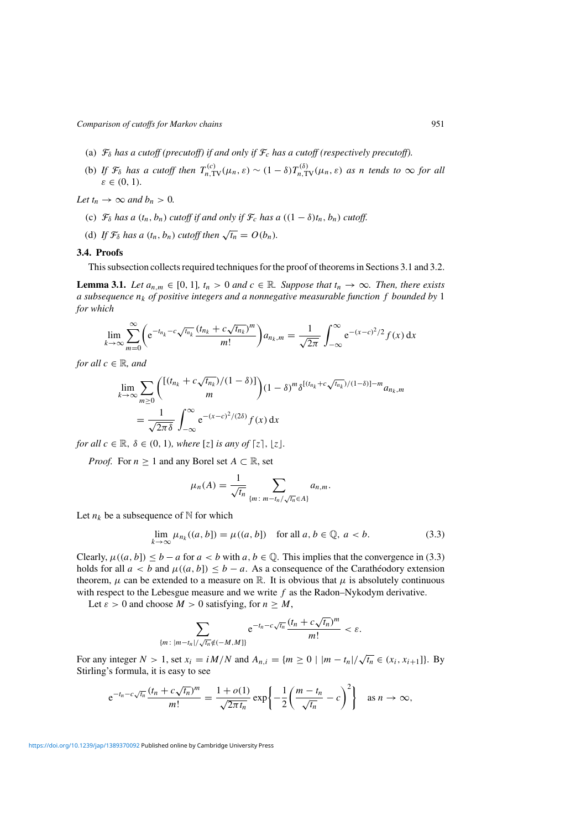- (a)  $\mathcal{F}_{\delta}$  *has a cutoff (precutoff) if and only if*  $\mathcal{F}_{c}$  *has a cutoff (respectively precutoff).*
- (b) *If*  $\mathcal{F}_{\delta}$  *has a cutoff then*  $T_{n,\text{TV}}^{(c)}(\mu_n, \varepsilon) \sim (1 \delta) T_{n,\text{TV}}^{(\delta)}(\mu_n, \varepsilon)$  *as n tends to*  $\infty$  *for all ε* ∈ *(*0*,* 1*).*

*Let*  $t_n \to \infty$  *and*  $b_n > 0$ *.* 

- (c)  $\mathcal{F}_{\delta}$  *has a*  $(t_n, b_n)$  *cutoff if and only if*  $\mathcal{F}_c$  *has a*  $((1 \delta)t_n, b_n)$  *cutoff.*
- (d) If  $\mathcal{F}_{\delta}$  has a  $(t_n, b_n)$  cutoff then  $\sqrt{t_n} = O(b_n)$ *.*

## **3.4. Proofs**

This subsection collects required techniques for the proof of theorems in Sections 3.1 and 3.2.

**Lemma 3.1.** *Let*  $a_{n,m} \in [0, 1]$ *,*  $t_n > 0$  *and*  $c \in \mathbb{R}$ *. Suppose that*  $t_n \to \infty$ *. Then, there exists a subsequence nk of positive integers and a nonnegative measurable function f bounded by* 1 *for which*

$$
\lim_{k \to \infty} \sum_{m=0}^{\infty} \left( e^{-t_{n_k} - c \sqrt{t_{n_k}} \frac{(t_{n_k} + c \sqrt{t_{n_k}})^m}{m!} \right) a_{n_k, m} = \frac{1}{\sqrt{2\pi}} \int_{-\infty}^{\infty} e^{-(x-c)^2/2} f(x) dx
$$

*for all*  $c \in \mathbb{R}$ *, and* 

$$
\lim_{k \to \infty} \sum_{m \ge 0} \binom{\left[ (t_{n_k} + c\sqrt{t_{n_k}})/(1-\delta) \right]}{m} (1-\delta)^m \delta^{[(t_{n_k} + c\sqrt{t_{n_k}})/(1-\delta)] - m} a_{n_k,m}
$$
\n
$$
= \frac{1}{\sqrt{2\pi\delta}} \int_{-\infty}^{\infty} e^{-(x-c)^2/(2\delta)} f(x) dx
$$

*for all*  $c \in \mathbb{R}$ ,  $\delta \in (0, 1)$ *, where* [*z*] *is any of* [*z*], [*z*]*.* 

*Proof.* For  $n \geq 1$  and any Borel set  $A \subset \mathbb{R}$ , set

$$
\mu_n(A) = \frac{1}{\sqrt{t_n}} \sum_{\{m \colon m - t_n/\sqrt{t_n} \in A\}} a_{n,m}.
$$

Let  $n_k$  be a subsequence of  $N$  for which

$$
\lim_{k \to \infty} \mu_{n_k}((a, b]) = \mu((a, b]) \quad \text{for all } a, b \in \mathbb{Q}, a < b. \tag{3.3}
$$

Clearly,  $\mu((a, b]) \leq b - a$  for  $a < b$  with  $a, b \in \mathbb{Q}$ . This implies that the convergence in (3.3) holds for all  $a < b$  and  $\mu((a, b]) \le b - a$ . As a consequence of the Carathéodory extension theorem,  $\mu$  can be extended to a measure on R. It is obvious that  $\mu$  is absolutely continuous with respect to the Lebesgue measure and we write *f* as the Radon–Nykodym derivative.

Let  $\varepsilon > 0$  and choose  $M > 0$  satisfying, for  $n \geq M$ ,

$$
\sum_{\{m:\,|m-t_n|/\sqrt{t_n}\notin(-M,M]\}} e^{-t_n-c\sqrt{t_n}}\frac{(t_n+c\sqrt{t_n})^m}{m!}<\varepsilon.
$$

For any integer  $N > 1$ , set  $x_i = iM/N$  and  $A_{n,i} = \{m \ge 0 \mid |m - t_n|/\sqrt{t_n} \in (x_i, x_{i+1}]\}$ . By Stirling's formula, it is easy to see

$$
e^{-t_n-c\sqrt{t_n}}\frac{(t_n+c\sqrt{t_n})^m}{m!}=\frac{1+o(1)}{\sqrt{2\pi t_n}}\exp\left\{-\frac{1}{2}\left(\frac{m-t_n}{\sqrt{t_n}}-c\right)^2\right\}\quad\text{as }n\to\infty,
$$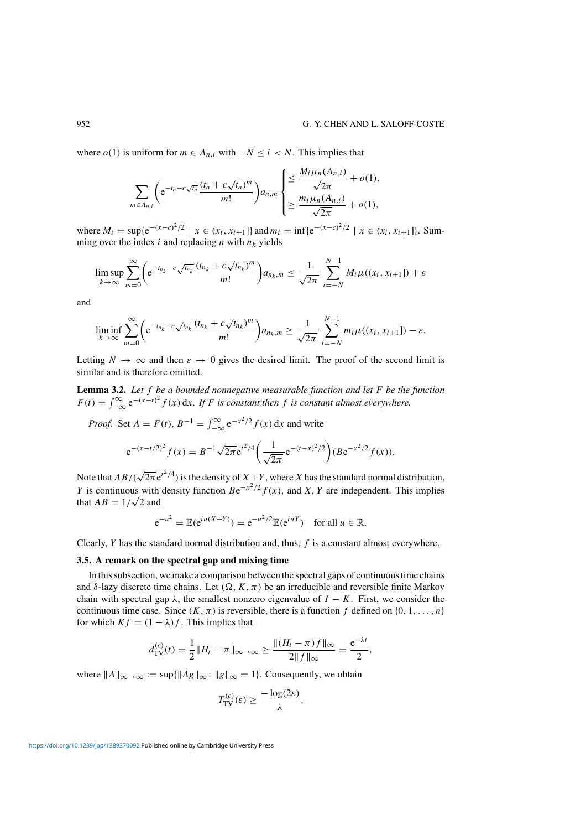where  $o(1)$  is uniform for  $m \in A_{n,i}$  with  $-N \leq i < N$ . This implies that

$$
\sum_{m\in A_{n,i}}\left(e^{-t_n-c\sqrt{t_n}}\frac{(t_n+c\sqrt{t_n})^m}{m!}\right)a_{n,m}\begin{cases} \leq \frac{M_i\mu_n(A_{n,i})}{\sqrt{2\pi}}+o(1),\\ \geq \frac{m_i\mu_n(A_{n,i})}{\sqrt{2\pi}}+o(1), \end{cases}
$$

where  $M_i$  = sup{ $e^{-(x-c)^2/2}$  | *x* ∈  $(x_i, x_{i+1}$ } and  $m_i$  = inf{ $e^{-(x-c)^2/2}$  | *x* ∈  $(x_i, x_{i+1}$ }. Summing over the index  $i$  and replacing  $n$  with  $n_k$  yields

$$
\limsup_{k \to \infty} \sum_{m=0}^{\infty} \left( e^{-t_{n_k} - c \sqrt{t_{n_k}} \frac{(t_{n_k} + c \sqrt{t_{n_k}})^m}{m!} \right) a_{n_k, m} \le \frac{1}{\sqrt{2\pi}} \sum_{i=-N}^{N-1} M_i \mu((x_i, x_{i+1}]) + \varepsilon
$$

and

$$
\liminf_{k\to\infty}\sum_{m=0}^{\infty}\bigg(e^{-t_{n_k}-c\sqrt{t_{n_k}}}\frac{(t_{n_k}+c\sqrt{t_{n_k}})^m}{m!}\bigg)a_{n_k,m}\geq \frac{1}{\sqrt{2\pi}}\sum_{i=-N}^{N-1}m_i\mu((x_i,x_{i+1}])-\varepsilon.
$$

Letting  $N \to \infty$  and then  $\varepsilon \to 0$  gives the desired limit. The proof of the second limit is similar and is therefore omitted.

**Lemma 3.2.** *Let f be a bounded nonnegative measurable function and let F be the function*  $F(t) = \int_{-\infty}^{\infty} e^{-(x-t)^2} f(x) dx$ . If *F* is constant then *f* is constant almost everywhere.

*Proof.* Set  $A = F(t)$ ,  $B^{-1} = \int_{-\infty}^{\infty} e^{-x^2/2} f(x) dx$  and write

$$
e^{-(x-t/2)^2} f(x) = B^{-1} \sqrt{2\pi} e^{t^2/4} \left( \frac{1}{\sqrt{2\pi}} e^{-(t-x)^2/2} \right) (Be^{-x^2/2} f(x)).
$$

Note that  $AB/(\sqrt{2\pi}e^{t^2/4})$  is the density of  $X+Y$ , where *X* has the standard normal distribution, *Y* is continuous with density function  $Be^{-x^2/2} f(x)$ , and *X*, *Y* are independent. This implies *t* is continuous with<br>that  $AB = 1/\sqrt{2}$  and

$$
e^{-u^2} = \mathbb{E}(e^{iu(X+Y)}) = e^{-u^2/2} \mathbb{E}(e^{iuY})
$$
 for all  $u \in \mathbb{R}$ .

Clearly, *Y* has the standard normal distribution and, thus, *f* is a constant almost everywhere.

#### **3.5. A remark on the spectral gap and mixing time**

In this subsection, we make a comparison between the spectral gaps of continuous time chains and  $\delta$ -lazy discrete time chains. Let  $(\Omega, K, \pi)$  be an irreducible and reversible finite Markov chain with spectral gap  $\lambda$ , the smallest nonzero eigenvalue of  $I - K$ . First, we consider the continuous time case. Since  $(K, \pi)$  is reversible, there is a function f defined on  $\{0, 1, \ldots, n\}$ for which  $Kf = (1 - \lambda)f$ . This implies that

$$
d_{\text{TV}}^{(c)}(t) = \frac{1}{2} \|H_t - \pi\|_{\infty \to \infty} \ge \frac{\|(H_t - \pi)f\|_{\infty}}{2\|f\|_{\infty}} = \frac{e^{-\lambda t}}{2},
$$

where  $||A||_{\infty \to \infty} := \sup{||Ag||_{\infty} : ||g||_{\infty} = 1}$ . Consequently, we obtain

$$
T_{\mathrm{TV}}^{(c)}(\varepsilon) \geq \frac{-\log(2\varepsilon)}{\lambda}.
$$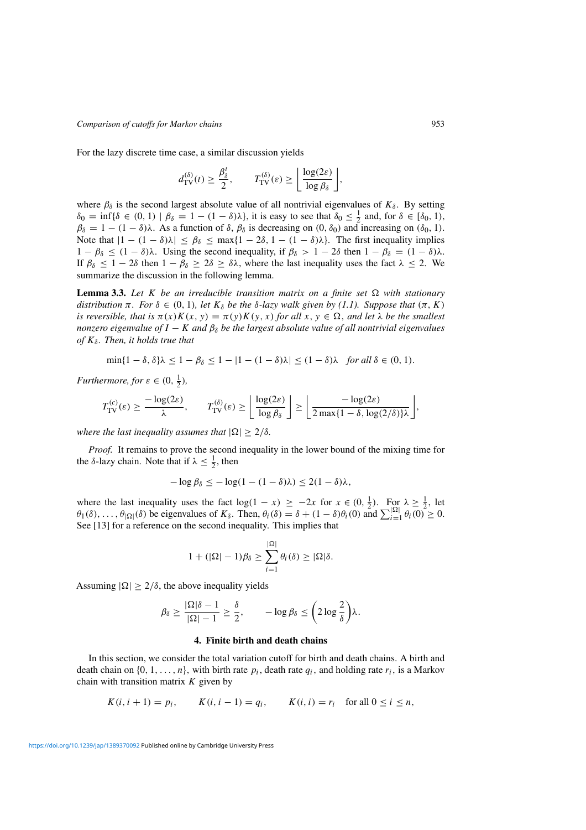For the lazy discrete time case, a similar discussion yields

$$
d_{\mathrm{TV}}^{(\delta)}(t) \geq \frac{\beta_{\delta}^t}{2}, \qquad T_{\mathrm{TV}}^{(\delta)}(\varepsilon) \geq \left\lfloor \frac{\log(2\varepsilon)}{\log \beta_{\delta}} \right\rfloor,
$$

where  $\beta_{\delta}$  is the second largest absolute value of all nontrivial eigenvalues of  $K_{\delta}$ . By setting  $\delta_0 = \inf \{ \delta \in (0, 1) \mid \beta_\delta = 1 - (1 - \delta) \lambda \},$  it is easy to see that  $\delta_0 \leq \frac{1}{2}$  and, for  $\delta \in [\delta_0, 1)$ , *β*<sub> $δ = 1 - (1 - δ)λ$ . As a function of  $δ$ ,  $β<sub>δ</sub>$  is decreasing on  $(0, δ<sub>0</sub>)$  and increasing on  $(δ<sub>0</sub>, 1)$ .</sub> Note that  $|1 - (1 - \delta)\lambda| \le \beta_{\delta} \le \max\{1 - 2\delta, 1 - (1 - \delta)\lambda\}$ . The first inequality implies  $1 - \beta_{\delta}$  ≤  $(1 - \delta)\lambda$ . Using the second inequality, if  $\beta_{\delta}$  > 1 − 2 $\delta$  then  $1 - \beta_{\delta}$  =  $(1 - \delta)\lambda$ . If  $\beta_{\delta} \leq 1 - 2\delta$  then  $1 - \beta_{\delta} \geq 2\delta \geq \delta\lambda$ , where the last inequality uses the fact  $\lambda \leq 2$ . We summarize the discussion in the following lemma.

**Lemma 3.3.** Let *K* be an irreducible transition matrix on a finite set  $\Omega$  with stationary *distribution π. For*  $\delta \in (0, 1)$ *, let*  $K_{\delta}$  *be the*  $\delta$ *-lazy walk given by* (1.1). Suppose that (π, K) *is reversible, that is*  $\pi(x)K(x, y) = \pi(y)K(y, x)$  *for all*  $x, y \in \Omega$ *, and let*  $\lambda$  *be the smallest nonzero eigenvalue of*  $I - K$  *and*  $\beta_{\delta}$  *be the largest absolute value of all nontrivial eigenvalues of Kδ. Then, it holds true that*

$$
\min\{1-\delta,\delta\}\lambda \le 1-\beta_{\delta} \le 1-|1-(1-\delta)\lambda| \le (1-\delta)\lambda \quad \text{for all } \delta \in (0,1).
$$

*Furthermore, for*  $\varepsilon \in (0, \frac{1}{2})$ *,* 

$$
T_{\text{TV}}^{(c)}(\varepsilon) \ge \frac{-\log(2\varepsilon)}{\lambda}, \qquad T_{\text{TV}}^{(\delta)}(\varepsilon) \ge \left\lfloor \frac{\log(2\varepsilon)}{\log \beta_{\delta}} \right\rfloor \ge \left\lfloor \frac{-\log(2\varepsilon)}{2\max\{1-\delta, \log(2/\delta)\}\lambda} \right\rfloor,
$$

*where the last inequality assumes that*  $|\Omega| \geq 2/\delta$ *.* 

*Proof.* It remains to prove the second inequality in the lower bound of the mixing time for the  $\delta$ -lazy chain. Note that if  $\lambda \leq \frac{1}{2}$ , then

$$
-\log \beta_{\delta} \le -\log(1-(1-\delta)\lambda) \le 2(1-\delta)\lambda,
$$

where the last inequality uses the fact  $log(1 - x) \ge -2x$  for  $x \in (0, \frac{1}{2})$ . For  $\lambda \ge \frac{1}{2}$ , let  $\theta_1(\delta), \ldots, \theta_{|\Omega|}(\delta)$  be eigenvalues of  $K_\delta$ . Then,  $\theta_i(\delta) = \delta + (1 - \delta)\theta_i(0)$  and  $\sum_{i=1}^{|\Omega|} \theta_i(0) \geq 0$ . See [13] for a reference on the second inequality. This implies that

$$
1 + (|\Omega| - 1)\beta_{\delta} \ge \sum_{i=1}^{|\Omega|} \theta_i(\delta) \ge |\Omega|\delta.
$$

Assuming  $|\Omega| \geq 2/\delta$ , the above inequality yields

$$
\beta_{\delta} \ge \frac{|\Omega|\delta - 1}{|\Omega| - 1} \ge \frac{\delta}{2}, \qquad -\log \beta_{\delta} \le \left(2\log \frac{2}{\delta}\right)\lambda.
$$

#### **4. Finite birth and death chains**

In this section, we consider the total variation cutoff for birth and death chains. A birth and death chain on  $\{0, 1, \ldots, n\}$ , with birth rate  $p_i$ , death rate  $q_i$ , and holding rate  $r_i$ , is a Markov chain with transition matrix *K* given by

$$
K(i, i + 1) = p_i
$$
,  $K(i, i - 1) = q_i$ ,  $K(i, i) = r_i$  for all  $0 \le i \le n$ ,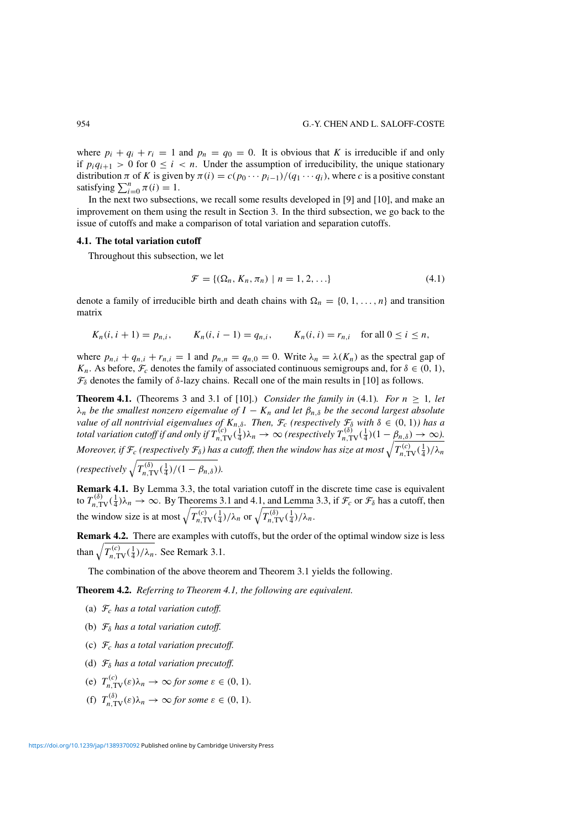where  $p_i + q_i + r_i = 1$  and  $p_n = q_0 = 0$ . It is obvious that *K* is irreducible if and only if  $p_i q_{i+1} > 0$  for  $0 \le i < n$ . Under the assumption of irreducibility, the unique stationary distribution  $\pi$  of K is given by  $\pi(i) = c(p_0 \cdots p_{i-1})/(q_1 \cdots q_i)$ , where c is a positive constant satisfying  $\sum_{i=0}^{n} \pi(i) = 1$ .

In the next two subsections, we recall some results developed in [9] and [10], and make an improvement on them using the result in Section 3. In the third subsection, we go back to the issue of cutoffs and make a comparison of total variation and separation cutoffs.

# **4.1. The total variation cutoff**

Throughout this subsection, we let

$$
\mathcal{F} = \{ (\Omega_n, K_n, \pi_n) \mid n = 1, 2, \ldots \}
$$
\n(4.1)

denote a family of irreducible birth and death chains with  $\Omega_n = \{0, 1, \ldots, n\}$  and transition matrix

$$
K_n(i, i + 1) = p_{n,i}, \qquad K_n(i, i - 1) = q_{n,i}, \qquad K_n(i, i) = r_{n,i} \quad \text{for all } 0 \le i \le n,
$$

where  $p_{n,i} + q_{n,i} + r_{n,i} = 1$  and  $p_{n,n} = q_{n,0} = 0$ . Write  $\lambda_n = \lambda(K_n)$  as the spectral gap of *K<sub>n</sub>*. As before,  $\mathcal{F}_c$  denotes the family of associated continuous semigroups and, for  $\delta \in (0, 1)$ ,  $\mathcal{F}_{\delta}$  denotes the family of  $\delta$ -lazy chains. Recall one of the main results in [10] as follows.

**Theorem 4.1.** (Theorems 3 and 3.1 of [10].) *Consider the family in* (4.1)*. For*  $n > 1$ *, let λn be the smallest nonzero eigenvalue of I* − *Kn and let βn,δ be the second largest absolute value of all nontrivial eigenvalues of*  $K_{n,\delta}$ *. Then,*  $\mathcal{F}_c$  (respectively  $\mathcal{F}_\delta$  with  $\delta \in (0,1)$ *) has a total variation cutoff if and only if*  $T_{n,\text{TV}}^{(c)}(\frac{1}{4})\lambda_n \to \infty$  (respectively  $T_{n,\text{TV}}^{(\delta)}(\frac{1}{4})(1-\beta_{n,\delta}) \to \infty$ ). Moreover, if  $\mathcal{F}_c$  (respectively  $\mathcal{F}_\delta$ ) has a cutoff, then the window has size at most  $\sqrt{T_{n,\text{TV}}^{\text{(c)}}(\frac{1}{4})/\lambda_n}$  $(respectively \sqrt{T_{n,\text{TV}}^{(\delta)}(\frac{1}{4})/(1-\beta_{n,\delta})})$ .

**Remark 4.1.** By Lemma 3.3, the total variation cutoff in the discrete time case is equivalent to  $T_{n,\text{TV}}^{(\delta)}(\frac{1}{4})\lambda_n \to \infty$ . By Theorems 3.1 and 4.1, and Lemma 3.3, if  $\mathcal{F}_c$  or  $\mathcal{F}_\delta$  has a cutoff, then the window size is at most  $\sqrt{T_{n,\text{TV}}^{(c)}(\frac{1}{4})/\lambda_n}$  or  $\sqrt{T_{n,\text{TV}}^{(\delta)}(\frac{1}{4})/\lambda_n}$ .

**Remark 4.2.** There are examples with cutoffs, but the order of the optimal window size is less than  $\sqrt{T_{n,\text{TV}}^{(c)}(\frac{1}{4})/\lambda_n}$ . See Remark 3.1.

The combination of the above theorem and Theorem 3.1 yields the following.

**Theorem 4.2.** *Referring to Theorem 4.1, the following are equivalent.*

- (a) F*<sup>c</sup> has a total variation cutoff.*
- (b) F*<sup>δ</sup> has a total variation cutoff.*
- (c) F*<sup>c</sup> has a total variation precutoff.*
- (d) F*<sup>δ</sup> has a total variation precutoff.*
- (e)  $T_{n,\text{TV}}^{(c)}(\varepsilon)\lambda_n \to \infty$  *for some*  $\varepsilon \in (0, 1)$ *.*
- (f)  $T_{n,\text{TV}}^{(\delta)}(\varepsilon)\lambda_n \to \infty$  *for some*  $\varepsilon \in (0, 1)$ *.*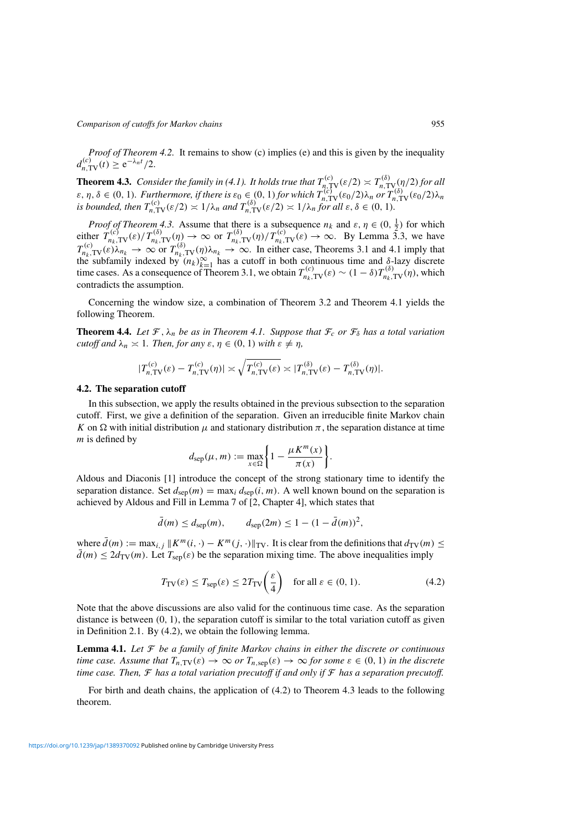*Proof of Theorem 4.2.* It remains to show (c) implies (e) and this is given by the inequality  $d_{n,\text{TV}}^{(c)}(t) \geq e^{-\lambda_n t}/2.$ 

**Theorem 4.3.** *Consider the family in (4.1). It holds true that*  $T_{n,\text{TV}}^{(c)}(\varepsilon/2) \asymp T_{n,\text{TV}}^{(\delta)}/(2)$  *for all*  $\varepsilon$ ,  $\eta$ ,  $\delta \in (0, 1)$ . Furthermore, if there is  $\varepsilon_0 \in (0, 1)$  for which  $T_{n, \text{TV}}^{(\hat{c})}(\varepsilon_0/2) \lambda_n$  or  $T_{n, \text{TV}}^{(\delta)}(\varepsilon_0/2) \lambda_n$ is bounded, then  $T_{n,\text{TV}}^{(c)}(\varepsilon/2) \asymp 1/\lambda_n$  and  $T_{n,\text{TV}}^{(\delta)}(\varepsilon/2) \asymp 1/\lambda_n$  for all  $\varepsilon, \delta \in (0, 1)$ .

*Proof of Theorem 4.3.* Assume that there is a subsequence  $n_k$  and  $\varepsilon, \eta \in (0, \frac{1}{2})$  for which either  $T_{n_k, \text{TV}}^{(c)}(\varepsilon)/T_{n_k, \text{TV}}^{(\delta)}(\eta) \to \infty$  or  $T_{n_k, \text{TV}}^{(\delta)}(\eta)/T_{n_k, \text{TV}}^{(c)}(\varepsilon) \to \infty$ . By Lemma 3.3, we have  $T_{n_k, \text{TV}}^{(c)}(\varepsilon) \lambda_{n_k} \to \infty$  or  $T_{n_k, \text{TV}}^{(\delta)}(\eta) \lambda_{n_k} \to \infty$ . In either case, Theorems 3.1 and 4.1 imply that the subfamily indexed by  $(n_k)_{k=1}^{\infty}$  has a cutoff in both continuous time and  $\delta$ -lazy discrete time cases. As a consequence of Theorem 3.1, we obtain  $T_{n_k, \text{TV}}^{(c)}(\varepsilon) \sim (1 - \delta) T_{n_k, \text{TV}}^{(\delta)}(\eta)$ , which contradicts the assumption.

Concerning the window size, a combination of Theorem 3.2 and Theorem 4.1 yields the following Theorem.

**Theorem 4.4.** Let  $\mathcal{F}, \lambda_n$  be as in Theorem 4.1. Suppose that  $\mathcal{F}_c$  or  $\mathcal{F}_\delta$  has a total variation *cutoff and*  $\lambda_n \geq 1$ *. Then, for any*  $\varepsilon, \eta \in (0, 1)$  *with*  $\varepsilon \neq \eta$ *,* 

$$
|T_{n,\text{TV}}^{(c)}(\varepsilon) - T_{n,\text{TV}}^{(c)}(\eta)| \asymp \sqrt{T_{n,\text{TV}}^{(c)}(\varepsilon)} \asymp |T_{n,\text{TV}}^{(\delta)}(\varepsilon) - T_{n,\text{TV}}^{(\delta)}(\eta)|.
$$

#### **4.2. The separation cutoff**

In this subsection, we apply the results obtained in the previous subsection to the separation cutoff. First, we give a definition of the separation. Given an irreducible finite Markov chain *K* on Ω with initial distribution  $\mu$  and stationary distribution  $\pi$ , the separation distance at time *m* is defined by

$$
d_{\rm sep}(\mu, m) := \max_{x \in \Omega} \left\{ 1 - \frac{\mu K^m(x)}{\pi(x)} \right\}.
$$

Aldous and Diaconis [1] introduce the concept of the strong stationary time to identify the separation distance. Set  $d_{\text{sep}}(m) = \max_i d_{\text{sep}}(i, m)$ . A well known bound on the separation is achieved by Aldous and Fill in Lemma 7 of [2, Chapter 4], which states that

$$
\bar{d}(m) \leq d_{\rm sep}(m), \qquad d_{\rm sep}(2m) \leq 1 - (1 - \bar{d}(m))^2,
$$

where  $\bar{d}(m) := \max_{i,j} ||K^m(i, \cdot) - K^m(j, \cdot)||_{TV}$ . It is clear from the definitions that  $d_{TV}(m) \le$  $d(m) \leq 2d_{\text{TV}}(m)$ . Let  $T_{\text{sep}}(\varepsilon)$  be the separation mixing time. The above inequalities imply

$$
T_{\rm TV}(\varepsilon) \le T_{\rm sep}(\varepsilon) \le 2T_{\rm TV}\left(\frac{\varepsilon}{4}\right) \quad \text{for all } \varepsilon \in (0, 1). \tag{4.2}
$$

Note that the above discussions are also valid for the continuous time case. As the separation distance is between *(*0*,* 1*)*, the separation cutoff is similar to the total variation cutoff as given in Definition 2.1. By (4.2), we obtain the following lemma.

**Lemma 4.1.** *Let* F *be a family of finite Markov chains in either the discrete or continuous time case. Assume that*  $T_{n,TV}(\varepsilon) \to \infty$  *or*  $T_{n,sep}(\varepsilon) \to \infty$  *for some*  $\varepsilon \in (0,1)$  *in the discrete time case. Then,* F *has a total variation precutoff if and only if* F *has a separation precutoff.*

For birth and death chains, the application of (4.2) to Theorem 4.3 leads to the following theorem.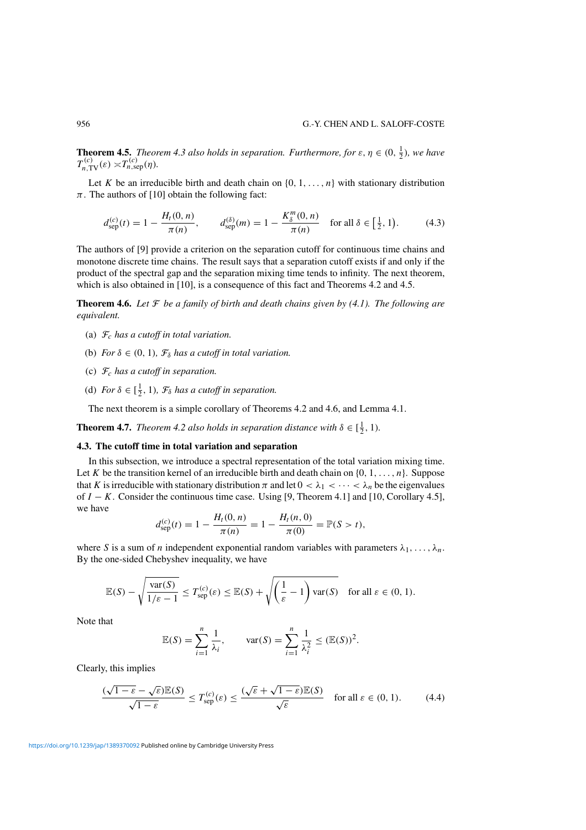**Theorem 4.5.** *Theorem 4.3 also holds in separation. Furthermore, for*  $\varepsilon$ ,  $\eta \in (0, \frac{1}{2})$ , we have  $T_{n,\text{TV}}^{(c)}(\varepsilon) \asymp T_{n,\text{sep}}^{(c)}(\eta)$ *.* 

Let *K* be an irreducible birth and death chain on  $\{0, 1, \ldots, n\}$  with stationary distribution  $\pi$ . The authors of [10] obtain the following fact:

$$
d_{\rm sep}^{(c)}(t) = 1 - \frac{H_t(0, n)}{\pi(n)}, \qquad d_{\rm sep}^{(\delta)}(m) = 1 - \frac{K_\delta^m(0, n)}{\pi(n)} \quad \text{for all } \delta \in \left[\frac{1}{2}, 1\right). \tag{4.3}
$$

The authors of [9] provide a criterion on the separation cutoff for continuous time chains and monotone discrete time chains. The result says that a separation cutoff exists if and only if the product of the spectral gap and the separation mixing time tends to infinity. The next theorem, which is also obtained in [10], is a consequence of this fact and Theorems 4.2 and 4.5.

**Theorem 4.6.** Let  $\mathcal F$  be a family of birth and death chains given by (4.1). The following are *equivalent.*

- (a) F*<sup>c</sup> has a cutoff in total variation.*
- (b) *For*  $\delta \in (0, 1)$ *,*  $\mathcal{F}_{\delta}$  *has a cutoff in total variation.*
- (c) F*<sup>c</sup> has a cutoff in separation.*
- (d) *For*  $\delta \in [\frac{1}{2}, 1)$ *,*  $\mathcal{F}_{\delta}$  *has a cutoff in separation.*

The next theorem is a simple corollary of Theorems 4.2 and 4.6, and Lemma 4.1.

**Theorem 4.7.** *Theorem 4.2 also holds in separation distance with*  $\delta \in \left[\frac{1}{2}, 1\right)$ *.* 

# **4.3. The cutoff time in total variation and separation**

In this subsection, we introduce a spectral representation of the total variation mixing time. Let *K* be the transition kernel of an irreducible birth and death chain on  $\{0, 1, \ldots, n\}$ . Suppose that *K* is irreducible with stationary distribution  $\pi$  and let  $0 < \lambda_1 < \cdots < \lambda_n$  be the eigenvalues of *I* − *K*. Consider the continuous time case. Using [9, Theorem 4.1] and [10, Corollary 4.5], we have

$$
d_{\rm sep}^{(c)}(t) = 1 - \frac{H_t(0, n)}{\pi(n)} = 1 - \frac{H_t(n, 0)}{\pi(0)} = \mathbb{P}(S > t),
$$

where *S* is a sum of *n* independent exponential random variables with parameters  $\lambda_1, \ldots, \lambda_n$ . By the one-sided Chebyshev inequality, we have

$$
\mathbb{E}(S) - \sqrt{\frac{\text{var}(S)}{1/\varepsilon - 1}} \le T_{\text{sep}}^{(c)}(\varepsilon) \le \mathbb{E}(S) + \sqrt{\left(\frac{1}{\varepsilon} - 1\right) \text{var}(S)} \quad \text{for all } \varepsilon \in (0, 1).
$$

Note that

$$
\mathbb{E}(S) = \sum_{i=1}^{n} \frac{1}{\lambda_i}, \quad \text{var}(S) = \sum_{i=1}^{n} \frac{1}{\lambda_i^2} \le (\mathbb{E}(S))^2.
$$

Clearly, this implies

$$
\frac{(\sqrt{1-\varepsilon}-\sqrt{\varepsilon})\mathbb{E}(S)}{\sqrt{1-\varepsilon}} \le T_{\text{sep}}^{(c)}(\varepsilon) \le \frac{(\sqrt{\varepsilon}+\sqrt{1-\varepsilon})\mathbb{E}(S)}{\sqrt{\varepsilon}} \quad \text{for all } \varepsilon \in (0,1). \tag{4.4}
$$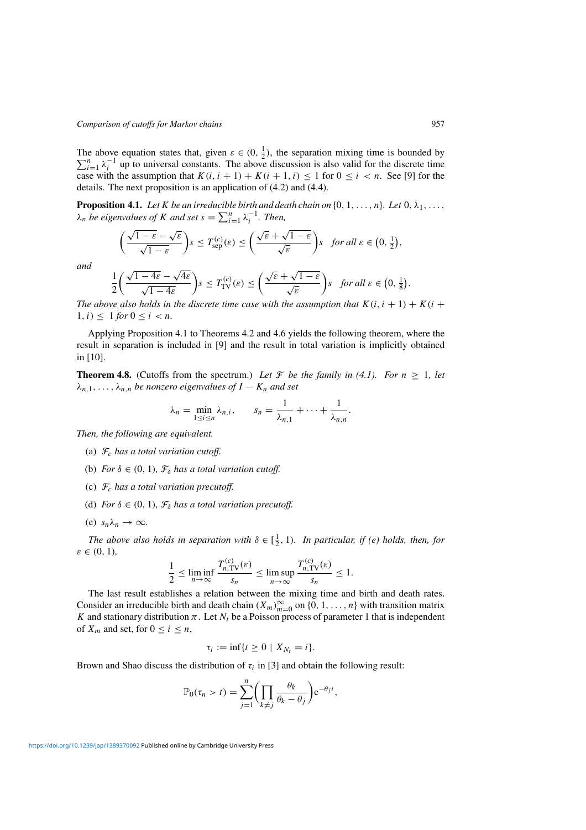The above equation states that, given  $\varepsilon \in (0, \frac{1}{2})$ , the separation mixing time is bounded by  $\sum_{i=1}^{n}$   $n-1$  up to universal constants. The above discussion is also valid for the discrete time  $\sum_{i=1}^{n} \lambda_i^{-1}$  up to universal constants. The above discussion is also valid for the discrete time case with the assumption that  $K(i, i + 1) + K(i + 1, i) \leq 1$  for  $0 \leq i < n$ . See [9] for the details. The next proposition is an application of (4.2) and (4.4).

**Proposition 4.1.** *Let K be an irreducible birth and death chain on*  $\{0, 1, \ldots, n\}$ *. Let*  $0, \lambda_1, \ldots,$  $\lambda_n$  *be eigenvalues of K and set*  $s = \sum_{i=1}^n \lambda_i^{-1}$ *. Then,* 

$$
\left(\frac{\sqrt{1-\varepsilon}-\sqrt{\varepsilon}}{\sqrt{1-\varepsilon}}\right)s \leq T_{\text{sep}}^{(c)}(\varepsilon) \leq \left(\frac{\sqrt{\varepsilon}+\sqrt{1-\varepsilon}}{\sqrt{\varepsilon}}\right)s \quad \text{for all } \varepsilon \in \left(0, \frac{1}{2}\right),
$$

*and*

$$
\frac{1}{2}\left(\frac{\sqrt{1-4\varepsilon}-\sqrt{4\varepsilon}}{\sqrt{1-4\varepsilon}}\right)s \le T_{\text{TV}}^{(c)}(\varepsilon) \le \left(\frac{\sqrt{\varepsilon}+\sqrt{1-\varepsilon}}{\sqrt{\varepsilon}}\right)s \quad \text{for all } \varepsilon \in \left(0, \frac{1}{8}\right).
$$

*The above also holds in the discrete time case with the assumption that*  $K(i, i + 1) + K(i + 1)$  $1, i) \leq 1$  *for*  $0 \leq i < n$ *.* 

Applying Proposition 4.1 to Theorems 4.2 and 4.6 yields the following theorem, where the result in separation is included in [9] and the result in total variation is implicitly obtained in [10].

**Theorem 4.8.** (Cutoffs from the spectrum.) Let F be the family in (4.1). For  $n \geq 1$ , let  $\lambda_{n,1}, \ldots, \lambda_{n,n}$  *be nonzero eigenvalues of*  $I - K_n$  *and set* 

$$
\lambda_n = \min_{1 \le i \le n} \lambda_{n,i}, \qquad s_n = \frac{1}{\lambda_{n,1}} + \dots + \frac{1}{\lambda_{n,n}}.
$$

*Then, the following are equivalent.*

- (a) F*<sup>c</sup> has a total variation cutoff.*
- (b) *For*  $\delta \in (0, 1)$ *,*  $\mathcal{F}_{\delta}$  *has a total variation cutoff.*
- (c) F*<sup>c</sup> has a total variation precutoff.*
- (d) *For*  $\delta \in (0, 1)$ *,*  $\mathcal{F}_{\delta}$  *has a total variation precutoff.*
- (e)  $s_n \lambda_n \to \infty$ .

*The above also holds in separation with*  $\delta \in [\frac{1}{2}, 1)$ *. In particular, if (e) holds, then, for ε* ∈ *(*0*,* 1*),*

$$
\frac{1}{2} \le \liminf_{n \to \infty} \frac{T_{n,\text{TV}}^{(c)}(\varepsilon)}{s_n} \le \limsup_{n \to \infty} \frac{T_{n,\text{TV}}^{(c)}(\varepsilon)}{s_n} \le 1.
$$

The last result establishes a relation between the mixing time and birth and death rates. Consider an irreducible birth and death chain  $(X_m)_{m=0}^{\infty}$  on  $\{0, 1, ..., n\}$  with transition matrix *K* and stationary distribution  $\pi$ . Let  $N_t$  be a Poisson process of parameter 1 that is independent of  $X_m$  and set, for  $0 \le i \le n$ ,

$$
\tau_i := \inf\{t \geq 0 \mid X_{N_t} = i\}.
$$

Brown and Shao discuss the distribution of  $\tau_i$  in [3] and obtain the following result:

$$
\mathbb{P}_0(\tau_n > t) = \sum_{j=1}^n \left( \prod_{k \neq j} \frac{\theta_k}{\theta_k - \theta_j} \right) e^{-\theta_j t},
$$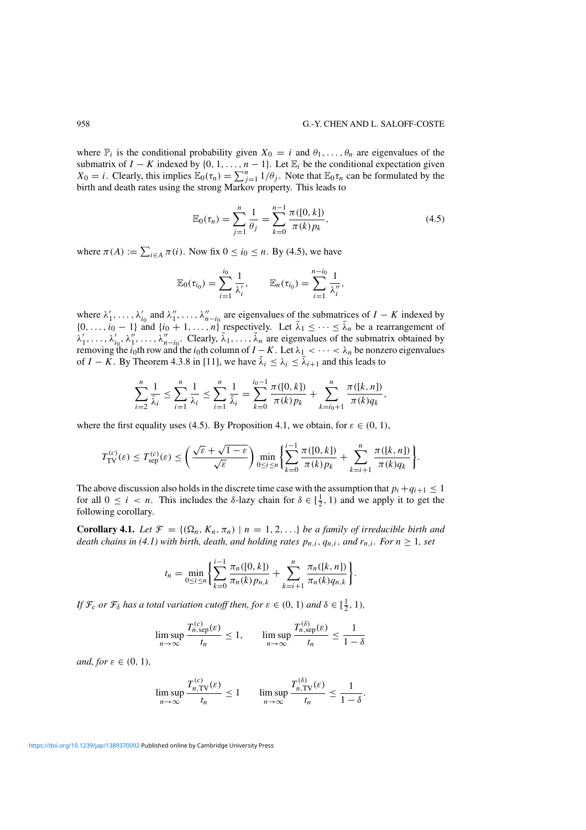where  $\mathbb{P}_i$  is the conditional probability given  $X_0 = i$  and  $\theta_1, \ldots, \theta_n$  are eigenvalues of the submatrix of  $I - K$  indexed by  $\{0, 1, \ldots, n - 1\}$ . Let  $\mathbb{E}_i$  be the conditional expectation given *X*<sub>0</sub> = *i*. Clearly, this implies  $\mathbb{E}_0(\tau_n) = \sum_{j=1}^n 1/\theta_j$ . Note that  $\mathbb{E}_0 \tau_n$  can be formulated by the birth and death rates using the strong Markov property. This leads to

$$
\mathbb{E}_0(\tau_n) = \sum_{j=1}^n \frac{1}{\theta_j} = \sum_{k=0}^{n-1} \frac{\pi([0, k])}{\pi(k) p_k},
$$
\n(4.5)

where  $\pi(A) := \sum_{i \in A} \pi(i)$ . Now fix  $0 \le i_0 \le n$ . By (4.5), we have

$$
\mathbb{E}_0(\tau_{i_0}) = \sum_{i=1}^{i_0} \frac{1}{\lambda'_i}, \qquad \mathbb{E}_n(\tau_{i_0}) = \sum_{i=1}^{n-i_0} \frac{1}{\lambda''_i},
$$

where  $\lambda'_1, \ldots, \lambda'_{i_0}$  and  $\lambda''_1, \ldots, \lambda''_{n-i_0}$  are eigenvalues of the submatrices of  $I - K$  indexed by  $\{0,\ldots,i_0-1\}$  and  $\{i_0+1,\ldots,n\}$  respectively. Let  $\bar{\lambda}_1 \leq \cdots \leq \bar{\lambda}_n$  be a rearrangement of  $\lambda'_1, \ldots, \lambda'_{i_0}, \lambda''_1, \ldots, \lambda''_{n-i_0}$ . Clearly,  $\bar{\lambda}_1, \ldots, \bar{\lambda}_n$  are eigenvalues of the submatrix obtained by removing the *i*<sub>0</sub>th row and the *i*<sub>0</sub>th column of *I* − *K*. Let  $\lambda_1$  < ··· <  $\lambda_n$  be nonzero eigenvalues of *I* − *K*. By Theorem 4.3.8 in [11], we have  $\bar{\lambda}_i \leq \lambda_i \leq \bar{\lambda}_{i+1}$  and this leads to

$$
\sum_{i=2}^n \frac{1}{\bar{\lambda}_i} \le \sum_{i=1}^n \frac{1}{\lambda_i} \le \sum_{i=1}^n \frac{1}{\bar{\lambda}_i} = \sum_{k=0}^{i_0-1} \frac{\pi([0,k])}{\pi(k)p_k} + \sum_{k=i_0+1}^n \frac{\pi([k,n])}{\pi(k)q_k},
$$

where the first equality uses (4.5). By Proposition 4.1, we obtain, for  $\varepsilon \in (0, 1)$ ,

$$
T_{\text{TV}}^{(c)}(\varepsilon) \leq T_{\text{sep}}^{(c)}(\varepsilon) \leq \left(\frac{\sqrt{\varepsilon} + \sqrt{1-\varepsilon}}{\sqrt{\varepsilon}}\right) \min_{0 \leq i \leq n} \left\{ \sum_{k=0}^{i-1} \frac{\pi([0,k])}{\pi(k)p_k} + \sum_{k=i+1}^{n} \frac{\pi([k,n])}{\pi(k)q_k} \right\}.
$$

The above discussion also holds in the discrete time case with the assumption that  $p_i + q_{i+1} \leq 1$ for all  $0 \le i < n$ . This includes the *δ*-lazy chain for  $\delta \in [\frac{1}{2}, 1)$  and we apply it to get the following corollary.

**Corollary 4.1.** Let  $\mathcal{F} = \{(\Omega_n, K_n, \pi_n) \mid n = 1, 2, ...\}$  be a family of irreducible birth and *death chains in (4.1) with birth, death, and holding rates*  $p_{n,i}$ ,  $q_{n,i}$ , and  $r_{n,i}$ . For  $n \geq 1$ , set

$$
t_n = \min_{0 \le i \le n} \left\{ \sum_{k=0}^{i-1} \frac{\pi_n([0, k])}{\pi_n(k) p_{n,k}} + \sum_{k=i+1}^n \frac{\pi_n([k, n])}{\pi_n(k) q_{n,k}} \right\}
$$

*.*

*If*  $\mathcal{F}_c$  *or*  $\mathcal{F}_\delta$  *has a total variation cutoff then, for*  $\varepsilon \in (0, 1)$  *and*  $\delta \in [\frac{1}{2}, 1)$ *,* 

$$
\limsup_{n \to \infty} \frac{T_{n,\text{sep}}^{(c)}(\varepsilon)}{t_n} \le 1, \qquad \limsup_{n \to \infty} \frac{T_{n,\text{sep}}^{(\delta)}(\varepsilon)}{t_n} \le \frac{1}{1-\delta}
$$

*and, for*  $\varepsilon \in (0, 1)$ *,* 

$$
\limsup_{n \to \infty} \frac{T_{n,\text{TV}}^{(c)}(\varepsilon)}{t_n} \le 1 \qquad \limsup_{n \to \infty} \frac{T_{n,\text{TV}}^{(\delta)}(\varepsilon)}{t_n} \le \frac{1}{1-\delta}.
$$